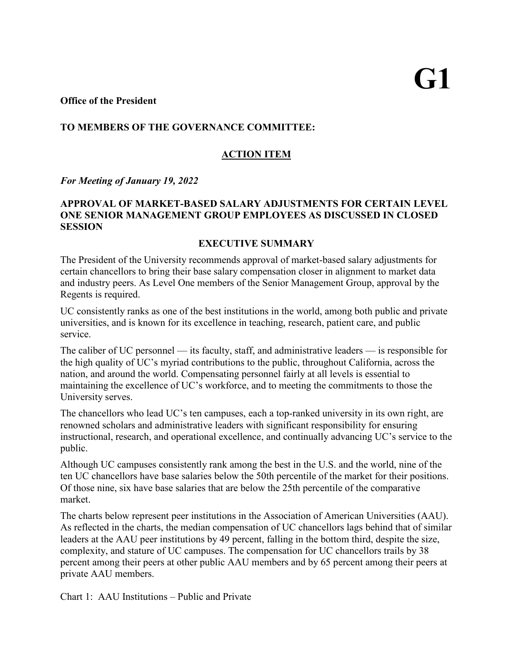## **TO MEMBERS OF THE GOVERNANCE COMMITTEE:**

# **ACTION ITEM**

*For Meeting of January 19, 2022*

# **APPROVAL OF MARKET-BASED SALARY ADJUSTMENTS FOR CERTAIN LEVEL ONE SENIOR MANAGEMENT GROUP EMPLOYEES AS DISCUSSED IN CLOSED SESSION**

#### **EXECUTIVE SUMMARY**

The President of the University recommends approval of market-based salary adjustments for certain chancellors to bring their base salary compensation closer in alignment to market data and industry peers. As Level One members of the Senior Management Group, approval by the Regents is required.

UC consistently ranks as one of the best institutions in the world, among both public and private universities, and is known for its excellence in teaching, research, patient care, and public service.

The caliber of UC personnel — its faculty, staff, and administrative leaders — is responsible for the high quality of UC's myriad contributions to the public, throughout California, across the nation, and around the world. Compensating personnel fairly at all levels is essential to maintaining the excellence of UC's workforce, and to meeting the commitments to those the University serves.

The chancellors who lead UC's ten campuses, each a top-ranked university in its own right, are renowned scholars and administrative leaders with significant responsibility for ensuring instructional, research, and operational excellence, and continually advancing UC's service to the public.

Although UC campuses consistently rank among the best in the U.S. and the world, nine of the ten UC chancellors have base salaries below the 50th percentile of the market for their positions. Of those nine, six have base salaries that are below the 25th percentile of the comparative market.

The charts below represent peer institutions in the Association of American Universities (AAU). As reflected in the charts, the median compensation of UC chancellors lags behind that of similar leaders at the AAU peer institutions by 49 percent, falling in the bottom third, despite the size, complexity, and stature of UC campuses. The compensation for UC chancellors trails by 38 percent among their peers at other public AAU members and by 65 percent among their peers at private AAU members.

Chart 1: AAU Institutions – Public and Private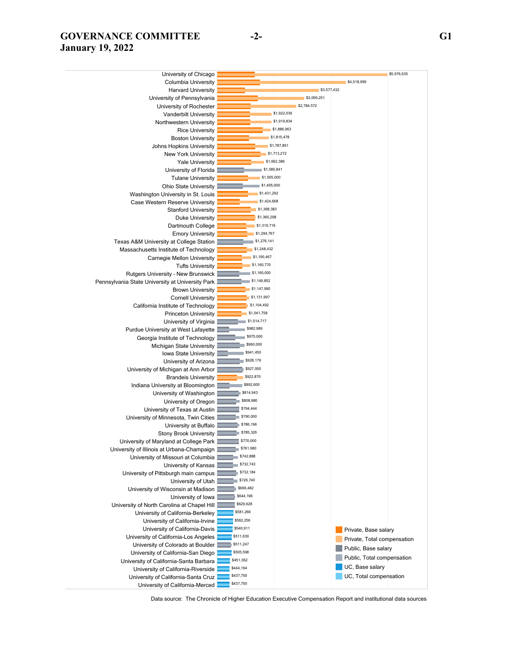# **GOVERNANCE COMMITTEE -2- G1 January 19, 2022**

| University of Chicago                                                            |                            |                             | \$5,976,635 |
|----------------------------------------------------------------------------------|----------------------------|-----------------------------|-------------|
| <b>Columbia University</b>                                                       |                            | \$4,518,999                 |             |
| <b>Harvard University</b>                                                        | \$3,577,432                |                             |             |
| University of Pennsylvania                                                       | \$3,069,251                |                             |             |
| University of Rochester                                                          | \$2,784,572                |                             |             |
| <b>Vanderbilt University</b>                                                     | \$1,922,039                |                             |             |
| Northwestern University                                                          | \$1,919,834                |                             |             |
| <b>Rice University</b>                                                           | \$1,886,963                |                             |             |
| <b>Boston University</b>                                                         | \$1,815,478                |                             |             |
| Johns Hopkins University                                                         | \$1,787,891                |                             |             |
| <b>New York University</b>                                                       | \$1,713,272<br>\$1,662,386 |                             |             |
| <b>Yale University</b>                                                           | \$1,580,841                |                             |             |
| University of Florida                                                            | \$1,505,000                |                             |             |
| <b>Tulane University</b>                                                         | \$1,495,000                |                             |             |
| <b>Ohio State University</b>                                                     | \$1,431,292                |                             |             |
| Washington University in St. Louis                                               | \$1,424,668                |                             |             |
| Case Western Reserve University<br><b>Stanford University</b>                    | \$1,368,383                |                             |             |
| Duke University                                                                  | \$1,360,298                |                             |             |
| Dartmouth College                                                                | \$1,319,716                |                             |             |
| <b>Emory University</b>                                                          | \$1,294,767                |                             |             |
| Texas A&M University at College Station                                          | \$1,276,141                |                             |             |
| Massachusetts Institute of Technology                                            | \$1,248,432                |                             |             |
| Carnegie Mellon University                                                       | \$1,190,467                |                             |             |
| <b>Tufts University</b>                                                          | \$1,160,770                |                             |             |
| Rutgers University - New Brunswick                                               | \$1,160,000                |                             |             |
| Pennsylvania State University at University Park                                 | \$1,149,852                |                             |             |
| <b>Brown University</b>                                                          | \$1,147,990                |                             |             |
| <b>Cornell University</b>                                                        | \$1,131,997                |                             |             |
| California Institute of Technology                                               | \$1,104,492                |                             |             |
| <b>Princeton University</b>                                                      | \$1,041,758                |                             |             |
| University of Virginia                                                           | \$1,014,717                |                             |             |
| Purdue University at West Lafayette                                              | \$982,989                  |                             |             |
| Georgia Institute of Technology                                                  | \$975,000                  |                             |             |
| Michigan State University                                                        | \$960,000                  |                             |             |
| Iowa State University                                                            | \$941,450                  |                             |             |
| University of Arizona                                                            | \$928,179                  |                             |             |
| University of Michigan at Ann Arbor                                              | \$927,000                  |                             |             |
| <b>Brandeis University</b>                                                       | \$922,870                  |                             |             |
| Indiana University at Bloomington                                                | \$892,600                  |                             |             |
| University of Washington                                                         | \$814,943                  |                             |             |
| University of Oregon                                                             | \$808,980                  |                             |             |
| University of Texas at Austin                                                    | \$794,444<br>\$790,000     |                             |             |
| University of Minnesota, Twin Cities                                             | \$786,196                  |                             |             |
| University at Buffalo                                                            | \$785,326                  |                             |             |
| <b>Stony Brook University</b>                                                    | \$770,000                  |                             |             |
| University of Maryland at College Park                                           | \$761,980                  |                             |             |
| University of Illinois at Urbana-Champaign<br>University of Missouri at Columbia | \$742,888                  |                             |             |
| University of Kansas                                                             | \$732,743                  |                             |             |
| University of Pittsburgh main campus                                             | \$732,184                  |                             |             |
| University of Utah                                                               | \$726,740                  |                             |             |
| University of Wisconsin at Madison                                               | \$666,482                  |                             |             |
| University of Iowa                                                               | \$644,196                  |                             |             |
| University of North Carolina at Chapel Hill                                      | \$629,928                  |                             |             |
| University of California-Berkeley                                                | \$581,266                  |                             |             |
| University of California-Irvine                                                  | \$562,256                  |                             |             |
| University of California-Davis                                                   | \$540,911                  | Private, Base salary        |             |
| University of California-Los Angeles                                             | \$511,630                  | Private, Total compensation |             |
| University of Colorado at Boulder                                                | \$511,247                  |                             |             |
| University of California-San Diego                                               | \$505,598                  | Public, Base salary         |             |
| University of California-Santa Barbara                                           | \$451,362                  | Public, Total compensation  |             |
| University of California-Riverside                                               | \$444,194                  | UC, Base salary             |             |
| University of California-Santa Cruz                                              | \$437,750                  | UC, Total compensation      |             |
| University of California-Merced                                                  | \$437,750                  |                             |             |

Data source: The Chronicle of Higher Education Executive Compensation Report and institutional data sources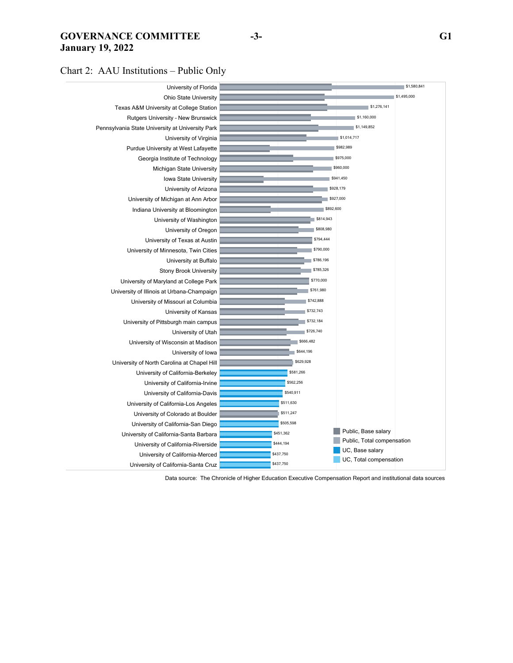#### **GOVERNANCE COMMITTEE -3- G1 January 19, 2022**

Chart 2: AAU Institutions – Public Only



Data source: The Chronicle of Higher Education Executive Compensation Report and institutional data sources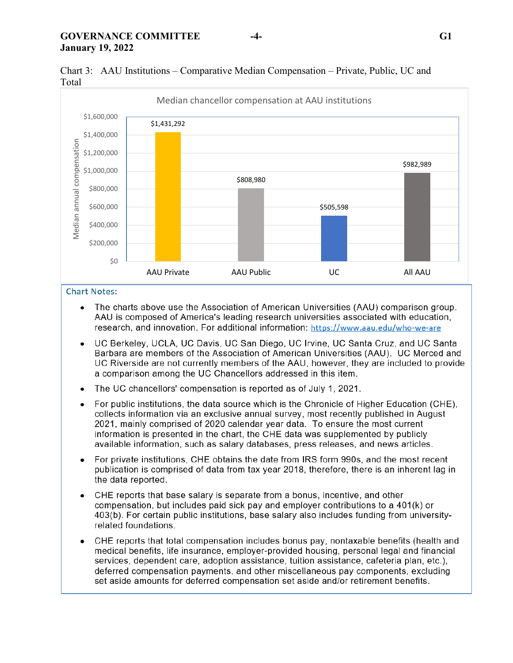

Chart 3: AAU Institutions – Comparative Median Compensation – Private, Public, UC and Total

#### **Chart Notes:**

- $\bullet$ The charts above use the Association of American Universities (AAU) comparison group. AAU is composed of America's leading research universities associated with education. research, and innovation. For additional information: https://www.aau.edu/who-we-are
- UC Berkeley, UCLA, UC Davis, UC San Diego, UC Irvine, UC Santa Cruz, and UC Santa  $\bullet$ Barbara are members of the Association of American Universities (AAU). UC Merced and UC Riverside are not currently members of the AAU, however, they are included to provide a comparison among the UC Chancellors addressed in this item.
- The UC chancellors' compensation is reported as of July 1, 2021.  $\bullet$
- For public institutions, the data source which is the Chronicle of Higher Education (CHE).  $\bullet$ collects information via an exclusive annual survey, most recently published in August 2021, mainly comprised of 2020 calendar year data. To ensure the most current information is presented in the chart, the CHE data was supplemented by publicly available information, such as salary databases, press releases, and news articles.
- For private institutions, CHE obtains the date from IRS form 990s, and the most recent  $\bullet$ publication is comprised of data from tax year 2018, therefore, there is an inherent lag in the data reported.
- CHE reports that base salary is separate from a bonus, incentive, and other  $\bullet$ compensation, but includes paid sick pay and employer contributions to a 401(k) or 403(b). For certain public institutions, base salary also includes funding from universityrelated foundations.
- CHE reports that total compensation includes bonus pay, nontaxable benefits (health and  $\bullet$ medical benefits, life insurance, employer-provided housing, personal legal and financial services, dependent care, adoption assistance, tuition assistance, cafeteria plan, etc.), deferred compensation payments, and other miscellaneous pay components, excluding set aside amounts for deferred compensation set aside and/or retirement benefits.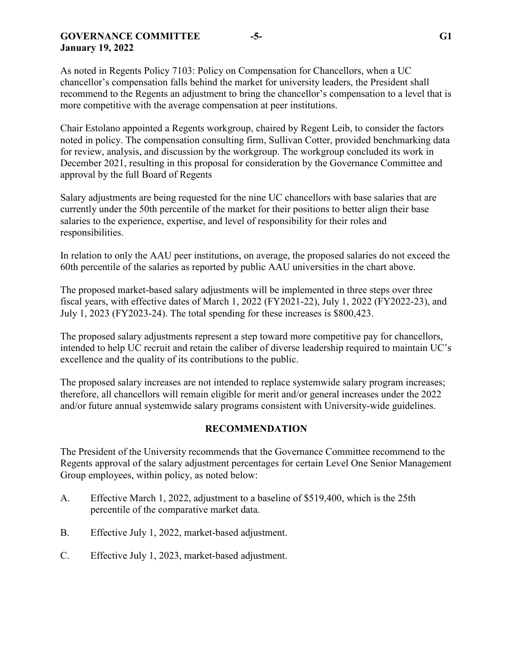### **GOVERNANCE COMMITTEE -5- G1 January 19, 2022**

As noted in Regents Policy 7103: Policy on Compensation for Chancellors, when a UC chancellor's compensation falls behind the market for university leaders, the President shall recommend to the Regents an adjustment to bring the chancellor's compensation to a level that is more competitive with the average compensation at peer institutions.

Chair Estolano appointed a Regents workgroup, chaired by Regent Leib, to consider the factors noted in policy. The compensation consulting firm, Sullivan Cotter, provided benchmarking data for review, analysis, and discussion by the workgroup. The workgroup concluded its work in December 2021, resulting in this proposal for consideration by the Governance Committee and approval by the full Board of Regents

Salary adjustments are being requested for the nine UC chancellors with base salaries that are currently under the 50th percentile of the market for their positions to better align their base salaries to the experience, expertise, and level of responsibility for their roles and responsibilities.

In relation to only the AAU peer institutions, on average, the proposed salaries do not exceed the 60th percentile of the salaries as reported by public AAU universities in the chart above.

The proposed market-based salary adjustments will be implemented in three steps over three fiscal years, with effective dates of March 1, 2022 (FY2021-22), July 1, 2022 (FY2022-23), and July 1, 2023 (FY2023-24). The total spending for these increases is \$800,423.

The proposed salary adjustments represent a step toward more competitive pay for chancellors, intended to help UC recruit and retain the caliber of diverse leadership required to maintain UC's excellence and the quality of its contributions to the public.

The proposed salary increases are not intended to replace systemwide salary program increases; therefore, all chancellors will remain eligible for merit and/or general increases under the 2022 and/or future annual systemwide salary programs consistent with University-wide guidelines.

#### **RECOMMENDATION**

The President of the University recommends that the Governance Committee recommend to the Regents approval of the salary adjustment percentages for certain Level One Senior Management Group employees, within policy, as noted below:

- A. Effective March 1, 2022, adjustment to a baseline of \$519,400, which is the 25th percentile of the comparative market data.
- B. Effective July 1, 2022, market-based adjustment.
- C. Effective July 1, 2023, market-based adjustment.